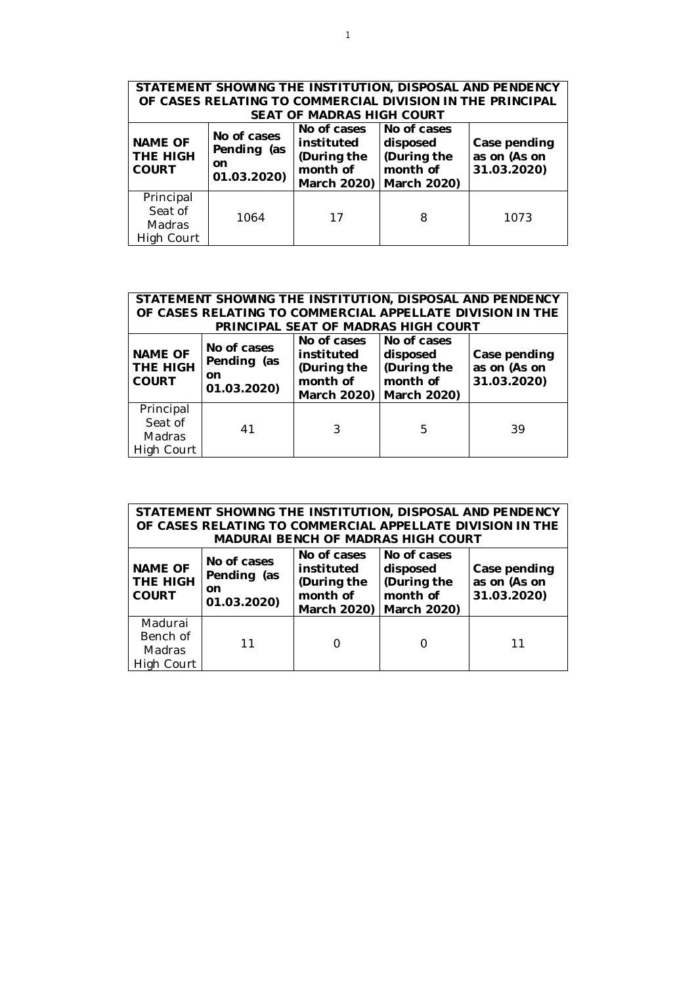| STATEMENT SHOWING THE INSTITUTION, DISPOSAL AND PENDENCY<br>OF CASES RELATING TO COMMERCIAL DIVISION IN THE PRINCIPAL<br>SEAT OF MADRAS HIGH COURT |                                                        |                                                                     |                                                                   |                                             |  |  |
|----------------------------------------------------------------------------------------------------------------------------------------------------|--------------------------------------------------------|---------------------------------------------------------------------|-------------------------------------------------------------------|---------------------------------------------|--|--|
| <b>NAME OF</b><br><b>THE HIGH</b><br><b>COURT</b>                                                                                                  | No of cases<br>Pending (as<br><b>on</b><br>01.03.2020) | No of cases<br>instituted<br>(During the<br>month of<br>March 2020) | No of cases<br>disposed<br>(During the<br>month of<br>March 2020) | Case pending<br>as on (As on<br>31.03.2020) |  |  |
| Principal<br>Seat of<br>Madras<br>High Court                                                                                                       | 1064                                                   | 17                                                                  | 8                                                                 | 1073                                        |  |  |

| STATEMENT SHOWING THE INSTITUTION, DISPOSAL AND PENDENCY<br>OF CASES RELATING TO COMMERCIAL APPELLATE DIVISION IN THE |                                                 |                                                                     |                                                                     |                                             |  |  |  |
|-----------------------------------------------------------------------------------------------------------------------|-------------------------------------------------|---------------------------------------------------------------------|---------------------------------------------------------------------|---------------------------------------------|--|--|--|
|                                                                                                                       |                                                 |                                                                     | PRINCIPAL SEAT OF MADRAS HIGH COURT                                 |                                             |  |  |  |
| <b>NAME OF</b><br><b>THE HIGH</b><br><b>COURT</b>                                                                     | No of cases<br>Pending (as<br>on<br>01.03.2020) | No of cases<br>instituted<br>(During the<br>month of<br>March 2020) | l No of cases<br>disposed<br>(During the<br>month of<br>March 2020) | Case pending<br>as on (As on<br>31.03.2020) |  |  |  |
| Principal<br>Seat of<br>Madras<br>High Court                                                                          | 41                                              |                                                                     | 5                                                                   | 39                                          |  |  |  |

| STATEMENT SHOWING THE INSTITUTION, DISPOSAL AND PENDENCY |                                                           |                                                                     |                                                                   |                                             |  |  |  |
|----------------------------------------------------------|-----------------------------------------------------------|---------------------------------------------------------------------|-------------------------------------------------------------------|---------------------------------------------|--|--|--|
|                                                          | OF CASES RELATING TO COMMERCIAL APPELLATE DIVISION IN THE |                                                                     |                                                                   |                                             |  |  |  |
|                                                          |                                                           |                                                                     | MADURAI BENCH OF MADRAS HIGH COURT                                |                                             |  |  |  |
| <b>NAME OF</b><br>THE HIGH<br><b>COURT</b>               | No of cases<br>Pending (as<br>on<br>01.03.2020)           | No of cases<br>instituted<br>(During the<br>month of<br>March 2020) | No of cases<br>disposed<br>(During the<br>month of<br>March 2020) | Case pending<br>as on (As on<br>31.03.2020) |  |  |  |
| Madurai<br>Bench of<br>Madras<br>High Court              | 11                                                        |                                                                     |                                                                   | 11                                          |  |  |  |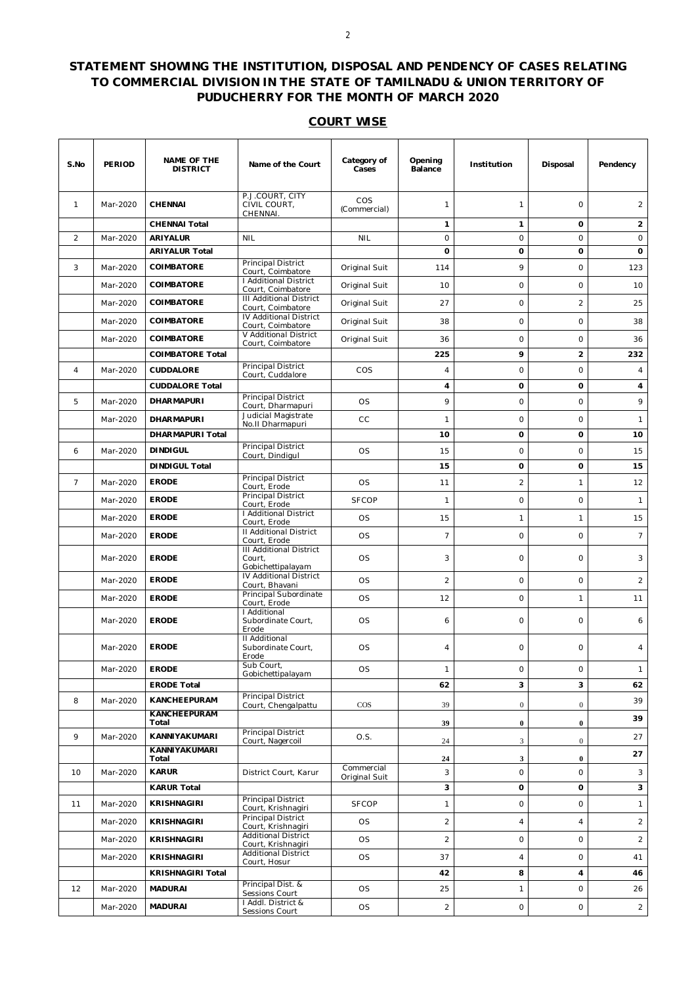## **STATEMENT SHOWING THE INSTITUTION, DISPOSAL AND PENDENCY OF CASES RELATING TO COMMERCIAL DIVISION IN THE STATE OF TAMILNADU & UNION TERRITORY OF PUDUCHERRY FOR THE MONTH OF MARCH 2020**

## **COURT WISE**

| S.No           | <b>PERIOD</b> | <b>NAME OF THE</b><br><b>DISTRICT</b> | Name of the Court                                             | Category of<br>Cases | Opening<br>Balance | Institution                 | Disposal            | Pendency       |
|----------------|---------------|---------------------------------------|---------------------------------------------------------------|----------------------|--------------------|-----------------------------|---------------------|----------------|
| $\mathbf{1}$   | Mar-2020      | <b>CHENNAI</b>                        | P.J.COURT, CITY<br>CIVIL COURT,<br>CHENNAI.                   | COS<br>(Commercial)  | 1                  | $\mathbf{1}$                | $\circ$             | 2              |
|                |               | <b>CHENNAI Total</b>                  |                                                               |                      | $\mathbf{1}$       | 1                           | 0                   | $\overline{2}$ |
| 2              | Mar-2020      | ARIYALUR                              | <b>NIL</b>                                                    | <b>NIL</b>           | $\circ$            | $\circ$                     | $\circ$             | $\circ$        |
|                |               | <b>ARIYALUR Total</b>                 |                                                               |                      | $\mathbf 0$        | O                           | 0                   | 0              |
| 3              | Mar-2020      | COIMBATORE                            | Principal District<br>Court, Coimbatore                       | Original Suit        | 114                | 9                           | $\circ$             | 123            |
|                | Mar-2020      | COIMBATORE                            | <b>I Additional District</b><br>Court, Coimbatore             | Original Suit        | 10                 | $\circ$                     | $\circ$             | 10             |
|                | Mar-2020      | <b>COIMBATORE</b>                     | <b>III Additional District</b><br>Court, Coimbatore           | Original Suit        | 27                 | $\circ$                     | $\overline{c}$      | 25             |
|                | Mar-2020      | COIMBATORE                            | IV Additional District<br>Court, Coimbatore                   | Original Suit        | 38                 | $\circ$                     | $\circ$             | 38             |
|                | Mar-2020      | COIMBATORE                            | V Additional District                                         | Original Suit        | 36                 | $\circ$                     | $\circ$             | 36             |
|                |               | <b>COIMBATORE Total</b>               | Court, Coimbatore                                             |                      | 225                | 9                           | $\overline{2}$      | 232            |
| $\overline{4}$ | Mar-2020      | <b>CUDDALORE</b>                      | Principal District                                            | COS                  | 4                  | $\circ$                     | $\circ$             | 4              |
|                |               | <b>CUDDALORE Total</b>                | Court, Cuddalore                                              |                      | 4                  | 0                           | 0                   | 4              |
|                |               |                                       | Principal District                                            |                      |                    |                             |                     |                |
| 5              | Mar-2020      | <b>DHARMAPURI</b>                     | Court, Dharmapuri                                             | OS                   | 9                  | $\circ$                     | $\circ$             | 9              |
|                | Mar-2020      | <b>DHARMAPURI</b>                     | Judicial Magistrate<br>No.II Dharmapuri                       | CC                   | $\mathbf{1}$       | $\circ$                     | $\circ$             | $\mathbf{1}$   |
|                |               | DHARMAPURI Total                      |                                                               |                      | 10                 | 0                           | 0                   | 10             |
| 6              | Mar-2020      | <b>DINDIGUL</b>                       | Principal District<br>Court, Dindigul                         | <b>OS</b>            | 15                 | $\circ$                     | $\circ$             | 15             |
|                |               | <b>DINDIGUL Total</b>                 |                                                               |                      | 15                 | O                           | O                   | 15             |
| $\overline{7}$ | Mar-2020      | <b>ERODE</b>                          | Principal District                                            | <b>OS</b>            | 11                 | $\sqrt{2}$                  | $\mathbf{1}$        | 12             |
|                | Mar-2020      | <b>ERODE</b>                          | Court, Erode<br>Principal District                            | <b>SFCOP</b>         | $\mathbf{1}$       | $\circ$                     | $\circ$             | $\mathbf{1}$   |
|                |               |                                       | Court, Erode<br>I Additional District                         |                      |                    |                             |                     |                |
|                | Mar-2020      | <b>ERODE</b>                          | Court, Erode                                                  | <b>OS</b>            | 15                 | $\mathbf{1}$                | $\mathbf{1}$        | 15             |
|                | Mar-2020      | <b>ERODE</b>                          | <b>II Additional District</b><br>Court, Erode                 | <b>OS</b>            | $\overline{7}$     | $\circ$                     | $\circ$             | $\overline{7}$ |
|                | Mar-2020      | <b>ERODE</b>                          | <b>III Additional District</b><br>Court,<br>Gobichettipalayam | OS                   | 3                  | $\circ$                     | $\circ$             | 3              |
|                | Mar-2020      | <b>ERODE</b>                          | IV Additional District<br>Court, Bhavani                      | OS                   | $\overline{a}$     | $\circ$                     | $\circ$             | $\overline{c}$ |
|                | Mar-2020      | <b>ERODE</b>                          | Principal Subordinate<br>Court, Erode                         | OS                   | 12                 | $\circ$                     | $\mathbf{1}$        | 11             |
|                | Mar-2020      | <b>ERODE</b>                          | I Additional<br>Subordinate Court,<br>Erode                   | <b>OS</b>            | 6                  | $\circ$                     | $\circ$             | 6              |
|                | Mar-2020      | <b>ERODE</b>                          | II Additional<br>Subordinate Court,<br>Erode                  | <b>OS</b>            | 4                  | 0                           | $\circ$             | 4              |
|                | Mar-2020      | <b>ERODE</b>                          | Sub Court,                                                    | OS                   | 1                  | 0                           | 0                   | $\mathbf{1}$   |
|                |               | <b>ERODE Total</b>                    | Gobichettipalayam                                             |                      | 62                 | 3                           | 3                   | 62             |
| 8              | Mar-2020      | KANCHEEPURAM                          | <b>Principal District</b>                                     |                      |                    |                             |                     | 39             |
|                |               | <b>KANCHEEPURAM</b>                   | Court, Chengalpattu                                           | $\cos$               | 39                 | $\mathbf{0}$                | $\mathbf{0}$        | 39             |
|                |               | Total                                 | <b>Principal District</b>                                     |                      | 39                 | $\bf{0}$                    | $\bf{0}$            |                |
| 9              | Mar-2020      | KANNIYAKUMARI<br><b>KANNIYAKUMARI</b> | Court, Nagercoil                                              | O.S.                 | 24                 | $\ensuremath{\mathfrak{Z}}$ | $\overline{0}$      | 27             |
|                |               | Total                                 |                                                               | Commercial           | 24                 | 3                           | $\bf{0}$            | 27             |
| 10             | Mar-2020      | <b>KARUR</b>                          | District Court, Karur                                         | Original Suit        | 3                  | $\circ$                     | $\circ$             | 3              |
|                |               | <b>KARUR Total</b>                    |                                                               |                      | 3                  | 0                           | 0                   | 3              |
| 11             | Mar-2020      | <b>KRISHNAGIRI</b>                    | Principal District<br>Court, Krishnagiri                      | <b>SFCOP</b>         | 1                  | $\circ$                     | $\mathsf{O}\xspace$ | $\mathbf{1}$   |
|                | Mar-2020      | <b>KRISHNAGIRI</b>                    | Principal District<br>Court, Krishnagiri                      | <b>OS</b>            | $\overline{2}$     | $\overline{4}$              | $\overline{4}$      | $\overline{a}$ |
|                | Mar-2020      | <b>KRISHNAGIRI</b>                    | <b>Additional District</b><br>Court, Krishnagiri              | OS                   | $\overline{c}$     | $\circ$                     | $\circ$             | $\overline{a}$ |
|                | Mar-2020      | <b>KRISHNAGIRI</b>                    | <b>Additional District</b>                                    | <b>OS</b>            | 37                 | $\overline{4}$              | $\mathsf{O}\xspace$ | 41             |
|                |               | <b>KRISHNAGIRI Total</b>              | Court, Hosur                                                  |                      | 42                 | 8                           | $\overline{4}$      | 46             |
| 12             | Mar-2020      | <b>MADURAI</b>                        | Principal Dist. &                                             | <b>OS</b>            | 25                 | 1                           | $\mathsf{O}\xspace$ | 26             |
|                |               |                                       | Sessions Court<br>I Addl. District &                          |                      |                    |                             |                     |                |
|                | Mar-2020      | <b>MADURAI</b>                        | Sessions Court                                                | <b>OS</b>            | $\overline{a}$     | $\mathsf{O}\xspace$         | $\mathsf O$         | $\overline{a}$ |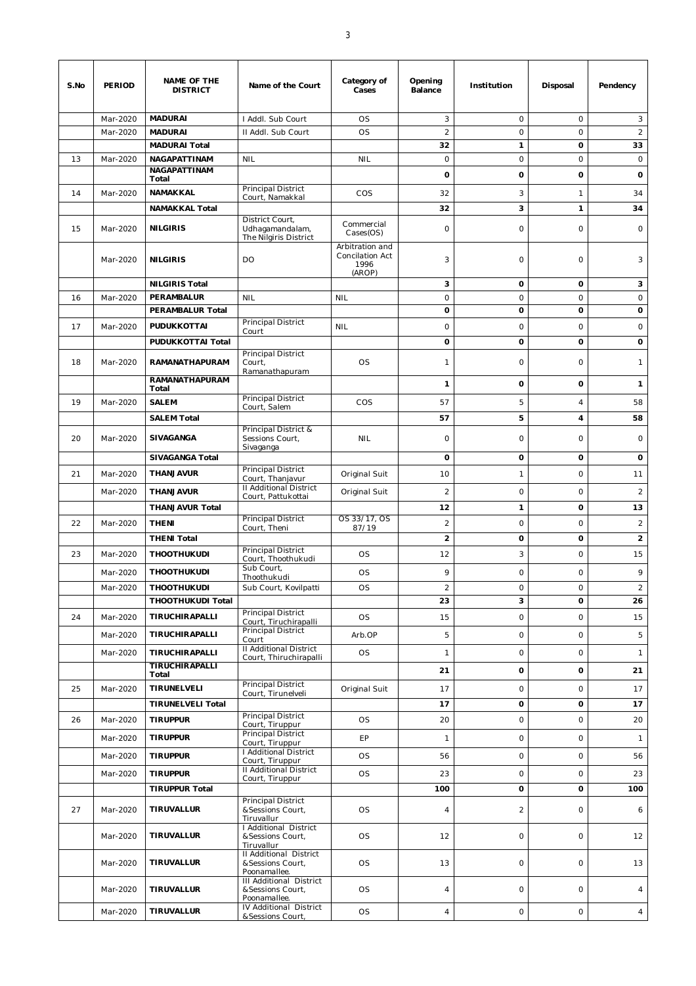| S.No | <b>PERIOD</b> | NAME OF THE<br><b>DISTRICT</b>                 | Name of the Court                                                  | Category of<br>Cases                                 | Opening<br>Balance      | Institution         | Disposal            | Pendency             |
|------|---------------|------------------------------------------------|--------------------------------------------------------------------|------------------------------------------------------|-------------------------|---------------------|---------------------|----------------------|
|      | Mar-2020      | <b>MADURAI</b>                                 | I Addl. Sub Court                                                  | <b>OS</b>                                            | 3                       | $\circ$             | $\circ$             | 3                    |
|      | Mar-2020      | <b>MADURAI</b>                                 | II Addl. Sub Court                                                 | <b>OS</b>                                            | $\overline{2}$          | $\circ$             | $\circ$             | 2                    |
|      |               | <b>MADURAI Total</b>                           |                                                                    |                                                      | 32                      | $\mathbf{1}$        | O                   | 33                   |
| 13   | Mar-2020      | NAGAPATTINAM<br>NAGAPATTINAM                   | <b>NIL</b>                                                         | <b>NIL</b>                                           | $\circ$                 | $\circ$             | $\circ$             | $\circ$              |
|      |               | Total                                          |                                                                    |                                                      | $\mathbf{o}$            | 0                   | $\mathbf 0$         | o                    |
| 14   | Mar-2020      | NAMAKKAL                                       | Principal District<br>Court, Namakkal                              | COS                                                  | 32                      | 3                   | $\mathbf{1}$        | 34                   |
|      |               | <b>NAMAKKAL Total</b>                          |                                                                    |                                                      | 32                      | 3                   | $\mathbf{1}$        | 34                   |
| 15   | Mar-2020      | <b>NILGIRIS</b>                                | District Court,<br>Udhagamandalam,<br>The Nilgiris District        | Commercial<br>Cases(OS)                              | $\circ$                 | $\circ$             | $\circ$             | $\circ$              |
|      | Mar-2020      | <b>NILGIRIS</b>                                | DO                                                                 | Arbitration and<br>Concilation Act<br>1996<br>(AROP) | 3                       | $\circ$             | 0                   | 3                    |
|      |               | <b>NILGIRIS Total</b>                          |                                                                    |                                                      | 3                       | o                   | 0                   | 3                    |
| 16   | Mar-2020      | PERAMBALUR                                     | <b>NIL</b>                                                         | <b>NIL</b>                                           | $\circ$                 | $\circ$             | $\circ$             | $\circ$              |
|      |               | PERAMBALUR Total                               | Principal District                                                 |                                                      | 0                       | 0                   | 0                   | 0                    |
| 17   | Mar-2020      | PUDUKKOTTAI                                    | Court                                                              | <b>NIL</b>                                           | $\circ$                 | $\circ$             | $\circ$             | $\circ$              |
|      |               | PUDUKKOTTAI Total                              | Principal District                                                 |                                                      | $\mathbf 0$             | 0                   | $\mathbf{o}$        | o                    |
| 18   | Mar-2020      | <b>RAMANATHAPURAM</b><br><b>RAMANATHAPURAM</b> | Court,<br>Ramanathapuram                                           | <b>OS</b>                                            | 1                       | $\circ$             | $\circ$             | 1                    |
|      |               | Total                                          |                                                                    |                                                      | $\mathbf{1}$            | 0                   | $\mathbf{o}$        | $\mathbf{1}$         |
| 19   | Mar-2020      | <b>SALEM</b>                                   | Principal District<br>Court, Salem                                 | COS                                                  | 57                      | 5                   | $\overline{4}$      | 58                   |
|      |               | <b>SALEM Total</b>                             |                                                                    |                                                      | 57                      | 5                   | 4                   | 58                   |
| 20   | Mar-2020      | SIVAGANGA                                      | Principal District &<br>Sessions Court,<br>Sivaganga               | <b>NIL</b>                                           | $\circ$                 | $\circ$             | $\circ$             | $\circ$              |
|      |               | <b>SIVAGANGA Total</b>                         |                                                                    |                                                      | $\mathbf 0$             | 0                   | $\mathbf{o}$        | 0                    |
| 21   | Mar-2020      | THANJAVUR                                      | Principal District<br>Court, Thanjavur                             | Original Suit                                        | 10                      | $\mathbf{1}$        | $\circ$             | 11                   |
|      | Mar-2020      | THANJAVUR                                      | <b>II Additional District</b><br>Court, Pattukottai                | Original Suit                                        | $\overline{c}$          | $\circ$             | $\circ$             | $\overline{2}$       |
|      |               | <b>THANJAVUR Total</b>                         |                                                                    |                                                      | 12                      | 1                   | 0                   | 13                   |
| 22   | Mar-2020      | <b>THENI</b>                                   | Principal District<br>Court, Theni                                 | OS 33/17, OS<br>87/19                                | $\overline{2}$          | $\circ$             | $\circ$             | $\overline{2}$       |
|      |               | <b>THENI Total</b>                             |                                                                    |                                                      | $\overline{\mathbf{c}}$ | 0                   | O                   | $\overline{2}$       |
| 23   | Mar-2020      | <b>THOOTHUKUDI</b>                             | Principal District<br>Court, Thoothukudi<br>Sub Court,             | <b>OS</b>                                            | 12                      | $\sqrt{3}$          | $\circ$             | 15                   |
|      | Mar-2020      | <b>THOOTHUKUDI</b>                             | Thoothukudi                                                        | <b>OS</b>                                            | 9                       | $\circ$             | $\circ$             | 9                    |
|      | Mar-2020      | <b>THOOTHUKUDI</b><br>THOOTHUKUDI Total        | Sub Court, Kovilpatti                                              | <b>OS</b>                                            | $\overline{a}$<br>23    | 0<br>3              | 0<br>0              | $\overline{2}$<br>26 |
| 24   | Mar-2020      | TIRUCHIRAPALLI                                 | Principal District<br>Court, Tiruchirapalli                        | <b>OS</b>                                            | 15                      | $\circ$             | $\mathsf{O}\xspace$ | 15                   |
|      | Mar-2020      | TIRUCHIRAPALLI                                 | <b>Principal District</b><br>Court                                 | Arb.OP                                               | 5                       | $\circ$             | $\circ$             | 5                    |
|      | Mar-2020      | TIRUCHIRAPALLI                                 | <b>II Additional District</b>                                      | <b>OS</b>                                            | $\mathbf{1}$            | $\circ$             | $\mathsf{O}\xspace$ | $\mathbf{1}$         |
|      |               | TIRUCHIRAPALLI<br>Total                        | Court, Thiruchirapalli                                             |                                                      | 21                      | 0                   | O                   | 21                   |
| 25   | Mar-2020      | TIRUNELVELI                                    | Principal District<br>Court, Tirunelveli                           | Original Suit                                        | 17                      | $\circ$             | $\circ$             | 17                   |
|      |               | <b>TIRUNELVELI Total</b>                       |                                                                    |                                                      | 17                      | 0                   | 0                   | 17                   |
| 26   | Mar-2020      | <b>TIRUPPUR</b>                                | Principal District<br>Court, Tiruppur                              | <b>OS</b>                                            | 20                      | $\circ$             | $\circ$             | 20                   |
|      | Mar-2020      | <b>TIRUPPUR</b>                                | Principal District<br>Court, Tiruppur                              | EP                                                   | $\mathbf{1}$            | $\circ$             | $\circ$             | $\mathbf{1}$         |
|      | Mar-2020      | <b>TIRUPPUR</b>                                | I Additional District<br>Court, Tiruppur                           | <b>OS</b>                                            | 56                      | $\circ$             | $\circ$             | 56                   |
|      | Mar-2020      | <b>TIRUPPUR</b>                                | <b>II Additional District</b><br>Court, Tiruppur                   | <b>OS</b>                                            | 23                      | $\circ$             | $\circ$             | 23                   |
|      |               | <b>TIRUPPUR Total</b>                          |                                                                    |                                                      | 100                     | 0                   | 0                   | 100                  |
| 27   | Mar-2020      | TIRUVALLUR                                     | <b>Principal District</b><br>&Sessions Court,<br>Tiruvallur        | <b>OS</b>                                            | $\sqrt{4}$              | $\sqrt{2}$          | $\circ$             | 6                    |
|      | Mar-2020      | TIRUVALLUR                                     | I Additional District<br>&Sessions Court,<br>Tiruvallur            | <b>OS</b>                                            | 12                      | $\circ$             | $\circ$             | 12                   |
|      | Mar-2020      | TIRUVALLUR                                     | <b>Il Additional District</b><br>&Sessions Court,<br>Poonamallee.  | <b>OS</b>                                            | 13                      | $\circ$             | $\circ$             | 13                   |
|      | Mar-2020      | TIRUVALLUR                                     | <b>III Additional District</b><br>&Sessions Court,<br>Poonamallee. | <b>OS</b>                                            | 4                       | $\circ$             | $\circ$             | $\overline{4}$       |
|      | Mar-2020      | TIRUVALLUR                                     | IV Additional District<br>&Sessions Court,                         | <b>OS</b>                                            | $\sqrt{4}$              | $\mathsf{O}\xspace$ | $\mathsf{O}\xspace$ | $\overline{4}$       |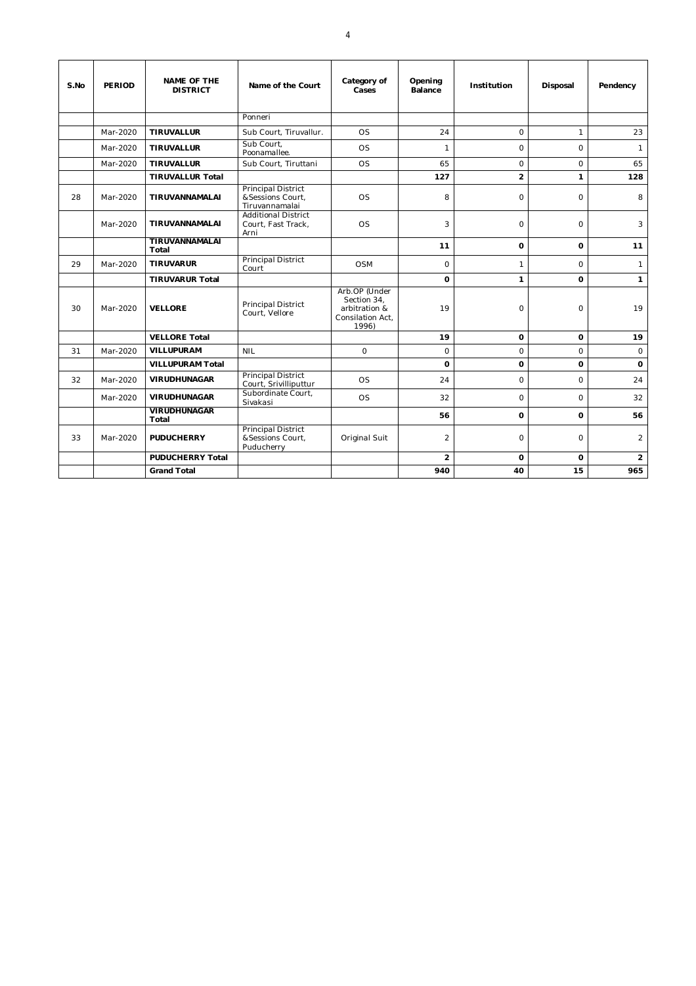| S.No | <b>PERIOD</b> | <b>NAME OF THE</b><br><b>DISTRICT</b> | Name of the Court                                               | Category of<br>Cases                                                       | Opening<br>Balance | Institution    | Disposal     | Pendency       |
|------|---------------|---------------------------------------|-----------------------------------------------------------------|----------------------------------------------------------------------------|--------------------|----------------|--------------|----------------|
|      |               |                                       | Ponneri                                                         |                                                                            |                    |                |              |                |
|      | Mar-2020      | <b>TIRUVALLUR</b>                     | Sub Court, Tiruvallur.                                          | OS                                                                         | 24                 | $\Omega$       | $\mathbf{1}$ | 23             |
|      | Mar-2020      | <b>TIRUVALLUR</b>                     | Sub Court.<br>Poonamallee.                                      | <b>OS</b>                                                                  | $\mathbf{1}$       | $\circ$        | $\circ$      | $\mathbf{1}$   |
|      | Mar-2020      | <b>TIRUVALLUR</b>                     | Sub Court, Tiruttani                                            | <b>OS</b>                                                                  | 65                 | $\circ$        | $\circ$      | 65             |
|      |               | <b>TIRUVALLUR Total</b>               |                                                                 |                                                                            | 127                | $\overline{2}$ | $\mathbf{1}$ | 128            |
| 28   | Mar-2020      | TIRUVANNAMALAI                        | <b>Principal District</b><br>&Sessions Court,<br>Tiruvannamalai | <b>OS</b>                                                                  | 8                  | $\Omega$       | $\Omega$     | 8              |
|      | Mar-2020      | TIRUVANNAMALAI                        | <b>Additional District</b><br>Court, Fast Track,<br>Arni        | <b>OS</b>                                                                  | 3                  | $\Omega$       | $\circ$      | 3              |
|      |               | TIRUVANNAMALAI<br>Total               |                                                                 |                                                                            | 11                 | o              | $\mathbf 0$  | 11             |
| 29   | Mar-2020      | <b>TIRUVARUR</b>                      | <b>Principal District</b><br>Court                              | <b>OSM</b>                                                                 | $\Omega$           | $\mathbf{1}$   | $\Omega$     | $\mathbf{1}$   |
|      |               | <b>TIRUVARUR Total</b>                |                                                                 |                                                                            | $\Omega$           | $\mathbf{1}$   | $\Omega$     | $\mathbf{1}$   |
| 30   | Mar-2020      | <b>VELLORE</b>                        | Principal District<br>Court. Vellore                            | Arb.OP (Under<br>Section 34,<br>arbitration &<br>Consilation Act,<br>1996) | 19                 | $\circ$        | $\circ$      | 19             |
|      |               | <b>VELLORE Total</b>                  |                                                                 |                                                                            | 19                 | 0              | 0            | 19             |
| 31   | Mar-2020      | VILLUPURAM                            | <b>NIL</b>                                                      | $\circ$                                                                    | $\circ$            | $\overline{O}$ | $\circ$      | $\circ$        |
|      |               | <b>VILLUPURAM Total</b>               |                                                                 |                                                                            | $\Omega$           | $\Omega$       | $\mathbf 0$  | $\mathbf 0$    |
| 32   | Mar-2020      | <b>VIRUDHUNAGAR</b>                   | <b>Principal District</b><br>Court, Srivilliputtur              | <b>OS</b>                                                                  | 24                 | $\circ$        | $\circ$      | 24             |
|      | Mar-2020      | <b>VIRUDHUNAGAR</b>                   | Subordinate Court,<br>Sivakasi                                  | <b>OS</b>                                                                  | 32                 | $\Omega$       | $\Omega$     | 32             |
|      |               | <b>VIRUDHUNAGAR</b><br>Total          |                                                                 |                                                                            | 56                 | 0              | $\mathbf 0$  | 56             |
| 33   | Mar-2020      | <b>PUDUCHERRY</b>                     | Principal District<br>&Sessions Court,<br>Puducherry            | Original Suit                                                              | $\overline{2}$     | $\circ$        | $\circ$      | $\overline{a}$ |
|      |               | <b>PUDUCHERRY Total</b>               |                                                                 |                                                                            | $\overline{2}$     | $\Omega$       | $\Omega$     | $\overline{2}$ |
|      |               | <b>Grand Total</b>                    |                                                                 |                                                                            | 940                | 40             | 15           | 965            |